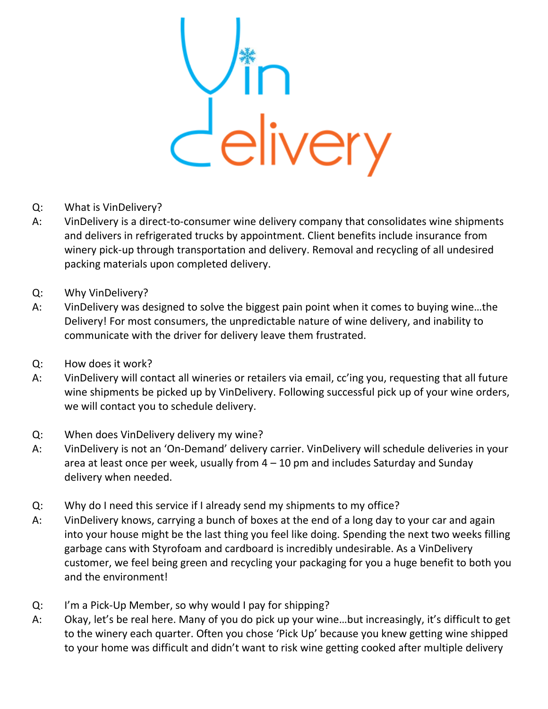

- Q: What is VinDelivery?
- A: VinDelivery is a direct-to-consumer wine delivery company that consolidates wine shipments and delivers in refrigerated trucks by appointment. Client benefits include insurance from winery pick-up through transportation and delivery. Removal and recycling of all undesired packing materials upon completed delivery.
- $Q$ : Why VinDelivery?
- $A$ : VinDelivery was designed to solve the biggest pain point when it comes to buying wine…the Delivery! For most consumers, the unpredictable nature of wine delivery, and inability to communicate with the driver for delivery leave them frustrated.
- Q: How does it work?
- A: VinDelivery will contact all wineries or retailers via email, cc'ing you, requesting that all future wine shipments be picked up by VinDelivery. Following successful pick up of your wine orders, we will contact you to schedule delivery.
- Q: When does VinDelivery delivery my wine?
- A: VinDelivery is not an 'On-Demand' delivery carrier. VinDelivery will schedule deliveries in your area at least once per week, usually from  $4 - 10$  pm and includes Saturday and Sunday delivery when needed.
- Q: Why do I need this service if I already send my shipments to my office?
- A: VinDelivery knows, carrying a bunch of boxes at the end of a long day to your car and again into your house might be the last thing you feel like doing. Spending the next two weeks filling garbage cans with Styrofoam and cardboard is incredibly undesirable. As a VinDelivery customer, we feel being green and recycling your packaging for you a huge benefit to both you and the environment!
- Q: I'm a Pick-Up Member, so why would I pay for shipping?
- A: Okay, let's be real here. Many of you do pick up your wine…but increasingly, it's difficult to get to the winery each quarter. Often you chose 'Pick Up' because you knew getting wine shipped to your home was difficult and didn't want to risk wine getting cooked after multiple delivery